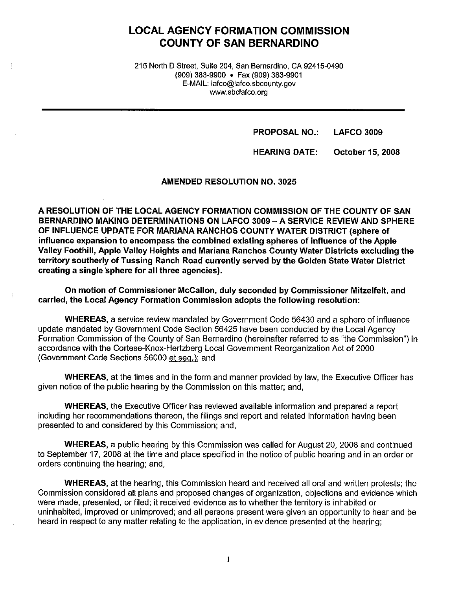# **LOCAL AGENCY FORMATION COMMISSION COUNTY OF SAN BERNARDINO**

215 North D Street, Suite 204, San Bernardino, CA 92415-0490 (909) 383-9900 • Fax (909) 383-9901 E-MAIL: lafco@lafco.sbcounty.gov www.sbclafco.org

> **PROPOSAL NO.: LAFCO 3009**

**HEARING DATE: October 15, 2008** 

**AMENDED RESOLUTION NO. 3025** 

**A RESOLUTION OF THE LOCAL AGENCY FORMATION COMMISSION OF THE COUNTY OF SAN BERNARDINO MAKING DETERMINATIONS ON LAFCO 3009-A SERVICE REVIEW AND SPHERE OF INFLUENCE UPDATE FOR MARIANA RANCHOS COUNTY WATER DISTRICT (sphere of influence expansion to encompass the combined existing spheres of influence of the Apple Valley Foothill, Apple Valley Heights and Mariana Ranchos County Water Districts excluding the territory southerly of Tussing Ranch Road currently served by the Golden State Water District creating a single.sphere for all three agencies).** 

**On motion of Commissioner McCallon, duly seconded by Commissioner Mitzelfelt, and carried, the Local Agency Formation Commission adopts the following resolution:** 

**WHEREAS,** a service review mandated by Government Code 56430 and a sphere of influence update mandated by Government Code Section 56425 have been conducted by the Local Agency Formation Commission of the County of San Bernardino (hereinafter referred to as "the Commission") in accordance with the Cortese-Knox-Hertzberg Local Government Reorganization Act of 2000 (Government Code Sections 56000 et seq.); and

**WHEREAS,** at the times and in the form and manner provided by law, the Executive Officer has given notice of the public hearing by the Commission on this matter; and,

**WHEREAS,** the Executive Officer has reviewed available information and prepared a report including her recommendations thereon, the filings and report and related information having been presented to and considered by this Commission; and,

**WHEREAS,** a public hearing by this Commission was called for August 20, 2008 and continued to September 17, 2008 at the time and place specified in the notice of public hearing and in an order or orders continuing the hearing; and,

**WHEREAS,** at the hearing, this Commission heard and received all oral and written protests; the Commission considered all plans and proposed changes of organization, objections and evidence which were made, presented, or filed; it received evidence as to whether the territory is inhabited or uninhabited, improved or unimproved; and all persons present were given an opportunity to hear and be heard in respect to any matter relating to the application, in evidence presented at the hearing;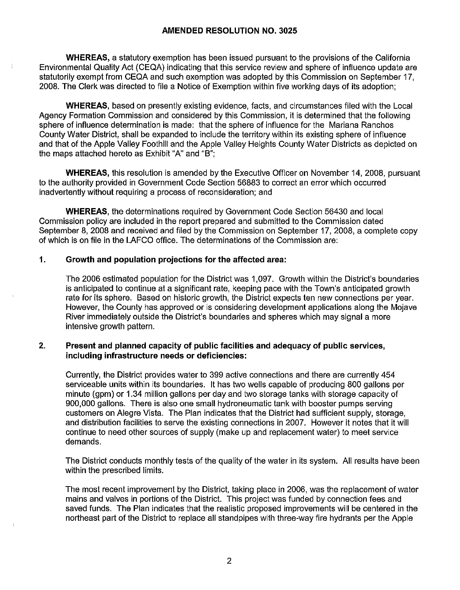**WHEREAS,** a statutory exemption has been issued pursuant to the provisions of the California Environmental Quality Act (CEQA) indicating that this service review and sphere of influence update are statutorily exempt from CEQA and such exemption was adopted by this Commission on September 17, 2008. The Clerk was directed to file a Notice of Exemption within five working days of its adoption;

**WHEREAS,** based on presently existing evidence, facts, and circumstances filed with the Local Agency Formation Commission and considered by this Commission, it is determined that the following sphere of influence determination is made: that the sphere of influence for the Mariana Ranchos County Water District, shall be expanded to include the territory within its existing sphere of influence and that of the Apple Valley Foothill and the Apple Valley Heights County Water Districts as depicted on the maps attached hereto as Exhibit "A" and "B";

**WHEREAS,** this resolution is amended by the Executive Officer on November 14, 2008, pursuant to the authority provided in Government Code Section 56883 to correct an error which occurred inadvertently without requiring a process of reconsideration; and

**WHEREAS,** the determinations required by Government Code Section 56430 and local Commission policy are included in the report prepared and submitted to the Commission dated September 8, 2008 and received and filed by the Commission on September 17, 2008, a complete copy of which is on file in the LAFCO office. The determinations of the Commission are:

## **1. Growth and population projections for the affected area:**

The 2006 estimated population for the District was 1,097. Growth within the District's boundaries is anticipated to continue at a significant rate, keeping pace with the Town's anticipated growth rate for its sphere. Based on historic growth, the District expects ten new connections per year. However, the County has approved or is considering development applications along the Mojave River immediately outside the District's boundaries and spheres which may signal a more intensive growth pattern.

## **2. Present and planned capacity of public facilities and adequacy of public services, including infrastructure needs or deficiencies:**

Currently, the District provides water to 399 active connections and there are currently 454 serviceable units within its boundaries. It has two wells capable of producing 800 gallons per minute (gpm) or 1.34 million gallons per day and two storage tanks with storage capacity of 900,000 gallons. There is also one small hydroneumatic tank with booster pumps serving customers on Alegre Vista. The Plan indicates that the District had sufficient supply, storage, and distribution facilities to serve the existing connections in 2007. However it notes that it will continue to need other sources of supply (make up and replacement water) to meet service demands.

The District conducts monthly tests of the quality of the water in its system. All results have been within the prescribed limits.

The most recent improvement by the District, taking place in 2006, was the replacement of water mains and valves in portions of the District. This project was funded by connection fees and saved funds. The Plan indicates that the realistic proposed improvements will be centered in the northeast part of the District to replace all standpipes with three-way fire hydrants per the Apple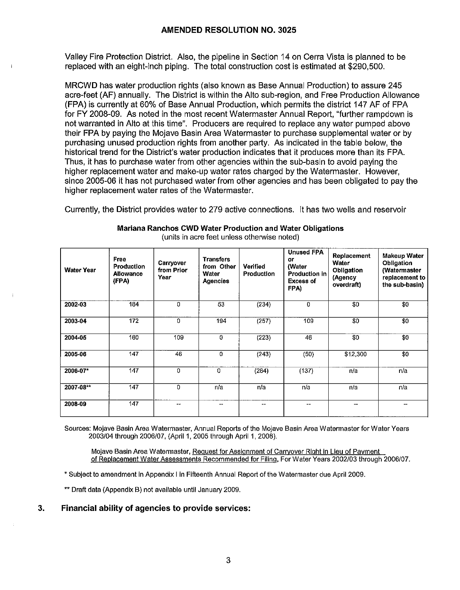Valley Fire Protection District. Also, the pipeline in Section 14 on Cerra Vista is planned to be replaced with an eight-inch piping. The total construction cost is estimated at \$290,500.

MRCWD has water production rights (also known as Base Annual Production) to assure 245 acre-feet (AF) annually. The District is within the Alto sub-region, and Free Production Allowance (FPA) is currently at 60% of Base Annual Production, which permits the district 147 AF of FPA for FY 2008-09. As noted in the most recent Watermaster Annual Report, "further rampdown is not warranted in Alto at this time". Producers are required to replace any water pumped above their FPA by paying the Mojave Basin Area Watermaster to purchase supplemental water or by purchasing unused production rights from another party. As indicated in the table below, the historical trend for the District's water production indicates that it produces more than its FPA. Thus, it has to purchase water from other agencies within the sub-basin to avoid paying the higher replacement water and make-up water rates charged by the Watermaster. However, since 2005-06 it has not purchased water from other agencies and has been obligated to pay the higher replacement water rates of the Watermaster.

Currently, the District provides water to 279 active connections. It has two wells and reservoir

| <b>Water Year</b> | Free<br><b>Production</b><br><b>Allowance</b><br>(FPA) | Carryover<br>from Prior<br>Year | <b>Transfers</b><br>from Other<br>Water<br><b>Agencies</b> | Verified<br><b>Production</b> | <b>Unused FPA</b><br>or<br>(Water<br><b>Production in</b><br><b>Excess of</b><br>FPA) | Replacement<br>Water<br>Obligation<br>(Agency<br>overdraft) | Makeup Water<br>Obligation<br>(Watermaster<br>replacement to<br>the sub-basin) |
|-------------------|--------------------------------------------------------|---------------------------------|------------------------------------------------------------|-------------------------------|---------------------------------------------------------------------------------------|-------------------------------------------------------------|--------------------------------------------------------------------------------|
| 2002-03           | 184                                                    | 0                               | 53                                                         | (234)                         | 0                                                                                     | \$0                                                         | \$0                                                                            |
| 2003-04           | 172                                                    | 0                               | 194                                                        | (257)                         | 109                                                                                   | \$0                                                         | $\overline{30}$                                                                |
| 2004-05           | 160                                                    | 109                             | $\mathbf 0$                                                | (223)                         | 46                                                                                    | \$0                                                         | \$0                                                                            |
| 2005-06           | 147                                                    | 46                              | $\Omega$                                                   | (243)                         | (50)                                                                                  | \$12,300                                                    | \$0                                                                            |
| 2006-07*          | 147                                                    | 0                               | 0                                                          | (284)                         | (137)                                                                                 | n/a                                                         | n/a                                                                            |
| 2007-08**         | 147                                                    | 0                               | n/a                                                        | n/a                           | n/a                                                                                   | n/a                                                         | n/a                                                                            |
| 2008-09           | 147                                                    | د د                             |                                                            | $- -$                         | $\sim$ $\sim$                                                                         | --                                                          |                                                                                |

**Mariana Ranchos CWD Water Production and Water Obligations**  (units in acre feet unless otherwise noted)

Sources: Mojave Basin Area Watermaster, Annual Reports of the Mojave Basin Area Watermaster for Water Years 2003/04 through 2006/07, (April 1, 2005 through April 1, 2008).

Mojave Basin Area Watermaster, Request for Assignment of Carryover Right in Lieu of Payment of Replacement Water Assessments Recommended for Filing. For Water Years 2002/03 through 2006/07.

• Subject to amendment in Appendix I in Fifteenth Annual Report of the Watermaster due April 2009.

"Draft data (Appendix B) not available until January 2009.

**3. Financial ability of agencies to provide services:**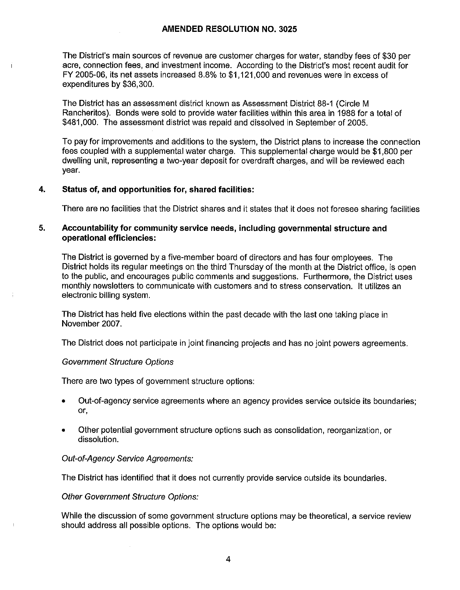The District's main sources of revenue are customer charges for water, standby fees of \$30 per acre, connection fees, and investment income. According to the District's most recent audit for FY 2005-06, its net assets increased 8.8% to \$1,121,000 and revenues were in excess of expenditures by \$36,300.

The District has an assessment district known as Assessment District 88-1 (Circle M Rancheritos). Bonds were sold to provide water facilities within this area in 1988 for a total of \$481,000. The assessment district was repaid and dissolved in September of 2005.

To pay for improvements and additions to the system, the District plans to increase the connection fees coupled with a supplemental water charge. This supplemental charge would be \$1,800 per dwelling unit, representing a two-year deposit for overdraft charges, and will be reviewed each year.

# **4. Status of, and opportunities for, shared facilities:**

There are no facilities that the District shares and ii states that it does not foresee sharing facilities

## **5. Accountability for community service needs, including governmental structure and operational efficiencies:**

The District is governed by a five-member board of directors and has four employees. The District holds its regular meetings on the third Thursday of the month at the District office, is open to the public, and encourages public comments and suggestions. Furthermore, the District uses monthly newsletters to communicate with customers and to stress conservation. It utilizes an electronic billing system.

The District has held five elections within the past decade with the last one taking place in November 2007.

The District does not participate in joint financing projects and has no joint powers agreements.

## Government Structure Options

There are two types of government structure options:

- Out-of-agency service agreements where an agency provides service outside its boundaries; or,
- Other potential government structure options such as consolidation, reorganization, or dissolution.

## Out-of-Agency Service Agreements:

The District has identified that it does not currently provide service outside its boundaries.

## Other Government Structure Options:

While the discussion of some government structure options may be theoretical, a service review should address all possible options. The options would be: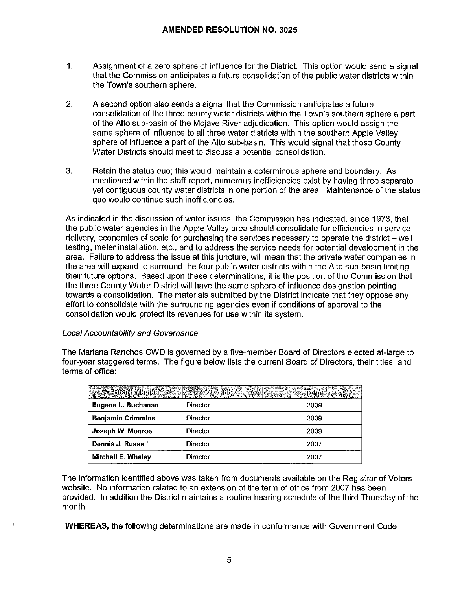- 1. Assignment of a zero sphere of influence for the District. This option would send a signal that the Commission anticipates a future consolidation of the public water districts within the Town's southern sphere.
- 2. A second option also sends a signal that the Commission anticipates a future consolidation of the three county water districts within the Town's southern sphere a part of the Alto sub-basin of the Mojave River adjudication. This option would assign the same sphere of influence to all three water districts within the southern Apple Valley sphere of influence a part of the Alto sub-basin. This would signal that these County Water Districts should meet to discuss a potential consolidation.
- 3. Retain the status quo; this would maintain a coterminous sphere and boundary. As mentioned within the staff report, numerous inefficiencies exist by having three separate yet contiguous county water districts in one portion of the area. Maintenance of the status quo would continue such inefficiencies.

As indicated in the discussion of water issues, the Commission has indicated, since 1973, that the public water agencies in the Apple Valley area should consolidate for efficiencies in service delivery, economies of scale for purchasing the services necessary to operate the district – well testing, meter installation, etc., and to address the service needs for potential development in the area. Failure to address the issue at this juncture, will mean that the private water companies in the area will expand to surround the four public water districts within the Alto sub-basin limiting their future options. Based upon these determinations, it is the position of the Commission that the three County Water District will have the same sphere of influence designation pointing towards a consolidation. The materials submitted by the District indicate that they oppose any effort to consolidate with the surrounding agencies even if conditions of approval to the consolidation would protect **its** revenues for use within its system.

## Local Accountability and Governance

The Mariana Ranchos CWD is governed by a five-member Board of Directors elected at-large to four-year staggered terms. The figure below lists the current Board of Directors, their titles, and terms of office:

| <b>Excluding The Miles of the Contract of the Contract of the Contract of the Contract of the Contract of the Contract of the Contract of the Contract of the Contract of the Contract of the Contract of the Contract of the Co</b> |          | <b>Brass Calling</b> |
|--------------------------------------------------------------------------------------------------------------------------------------------------------------------------------------------------------------------------------------|----------|----------------------|
| Eugene L. Buchanan                                                                                                                                                                                                                   | Director | 2009                 |
| <b>Benjamin Crimmins</b>                                                                                                                                                                                                             | Director | 2009                 |
| Joseph W. Monroe                                                                                                                                                                                                                     | Director | 2009                 |
| Dennis J. Russell                                                                                                                                                                                                                    | Director | 2007                 |
| <b>Mitchell E. Whaley</b>                                                                                                                                                                                                            | Director | 2007                 |

The information identified above was taken from documents available on the Registrar of Voters website. No information related to an extension of the term of office from 2007 has been provided. In addition the District maintains a routine hearing schedule of the third Thursday of the month.

**WHEREAS,** the following determinations are made in conformance with Government Code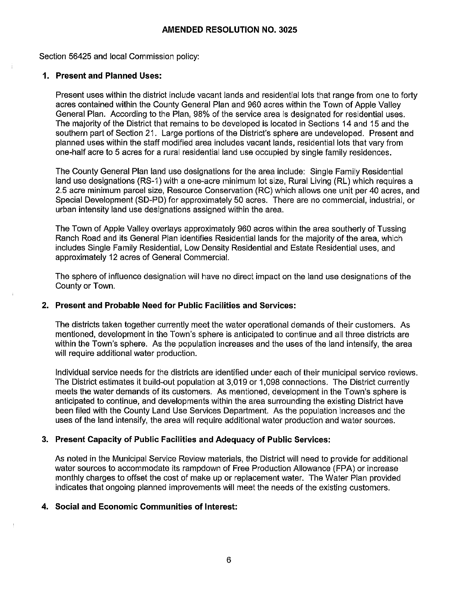## **AMENDED RESOLUTION NO. 3025**

Section 56425 and local Commission policy:

### **1. Present and Planned Uses:**

Present uses within the district include vacant lands and residential lots that range from one to forty acres contained within the County General Plan and 960 acres within the Town of Apple Valley General Plan. According to the Plan, 98% of the service area is designated for residential uses. The majority of the District that remains to be developed is located in Sections 14 and 15 and the southern part of Section 21. Large portions of the District's sphere are undeveloped. Present and planned uses within the staff modified area includes vacant lands, residential lots that vary from one-half acre to 5 acres for a rural residential land use occupied by single family residences.

The County General Plan land use designations for the area include: Single Family Residential land use designations (RS-1) with a one-acre minimum lot size, Rural Living (RL) which requires a 2.5 acre minimum parcel size, Resource Conservation (RC) which allows one unit per 40 acres, and Special Development (SD-PD) for approximately 50 acres. There are no commercial, industrial, or urban intensity land use designations assigned within the area.

The Town of Apple Valley overlays approximately 960 acres within the area southerly of Tussing Ranch Road and its General Plan identifies Residential lands for the majority of the area, which includes Single Family Residential, Low Density Residential and Estate Residential uses, and approximately 12 acres of General Commercial.

The sphere of influence designation will have no direct impact on the land use designations of the County or Town.

### **2. Present and Probable Need for Public Facilities and Services:**

The districts taken together currently meet the water operational demands of their customers. As mentioned, development in the Town's sphere is anticipated to continue and all three districts are within the Town's sphere. As the population increases and the uses of the land intensify, the area will require additional water production.

Individual service needs for the districts are identified under each of their municipal service reviews. The District estimates it build-out population at 3,019 or 1,098 connections. The District currently meets the water demands of its customers. As mentioned, development in the Town's sphere is anticipated to continue, and developments within the area surrounding the existing District have been filed with the County Land Use Services Department. As the population increases and the uses of the land intensify, the area will require additional water production and water sources.

## **3. Present Capacity of Public Facilities and Adequacy of Public Services:**

As noted in the Municipal Service Review materials, the District will need to provide for additional water sources to accommodate its rampdown of Free Production Allowance (FPA) or increase monthly charges to offset the cost of make up or replacement water. The Water Plan provided indicates that ongoing planned improvements will meet the needs of the existing customers.

## **4. Social and Economic Communities of Interest:**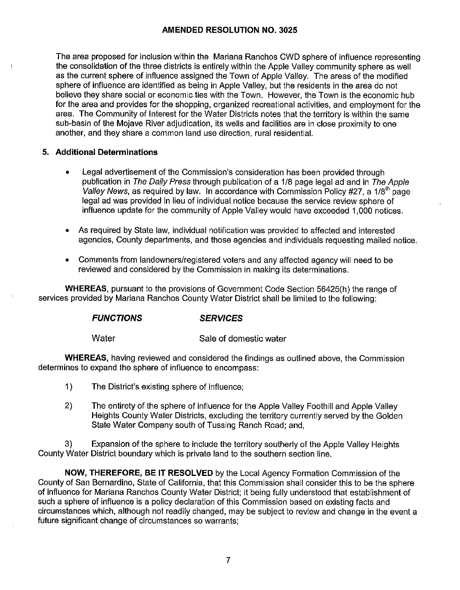## **AMENDED RESOLUTION NO. 3025**

The area proposed for inclusion within the Mariana Ranchos CWD sphere of influence representing the consolidation of the three districts is entirely within the Apple Valley community sphere as well as the current sphere of influence assigned the Town of Apple Valley. The areas of the modified sphere of influence are identified as being in Apple Valley, but the residents in the area do not believe they share social or economic ties with the Town. However, the Town is the economic hub for the area and provides for the shopping, organized recreational activities, and employment for the area. The Community of Interest for the Water Districts notes that the territory is within the same sub-basin of the Mojave River adjudication, its wells and facilities are in close proximity to one another, and they share a common land use direction, rural residential.

## **5. Additional Determinations**

- Legal advertisement of the Commission's consideration has been provided through publication in The Daily Press through publication of a 1/8 page legal ad and in The Apple Valley News, as required by law. In accordance with Commission Policy #27, a  $1/8<sup>th</sup>$  page legal ad was provided in lieu of individual notice because the service review sphere of influence update for the community of Apple Valley would have exceeded 1,000 notices.
- As required by State law, individual notification was provided to affected and interested agencies, County departments, and those agencies and individuals requesting mailed notice.
- Comments from landowners/registered voters and any affected agency will need to be reviewed and considered by the Commission in making its determinations.

**WHEREAS,** pursuant to the provisions of Government Code Section 56425(h) the range of services provided by Mariana Ranchos County Water District shall be limited to the following:

## **FUNCTIONS SERVICES**

Water Sale of domestic water

**WHEREAS,** having reviewed and considered the findings as outlined above, the Commission determines to expand the sphere of influence to encompass:

- 1) The District's existing sphere of influence;
- 2) The entirety of the sphere of influence for the Apple Valley Foothill and Apple Valley Heights County Water Districts, excluding the territory currently served by the Golden State Water Company south of Tussing Ranch Road; and,

3) Expansion of the sphere to include the territory southerly of the Apple Valley Heights County Water District boundary which is private land to the southern section line.

**NOW, THEREFORE, BE IT RESOLVED** by the Local Agency Formation Commission of the County of San Bernardino, State of California, that this Commission shall consider this to be the sphere of influence for Mariana Ranchos County Water District; it being fully understood that establishment of such a sphere of influence is a policy declaration of this Commission based on existing facts and circumstances which, although not readily changed, may be subject to review and change in the event a future significant change of circumstances so warrants;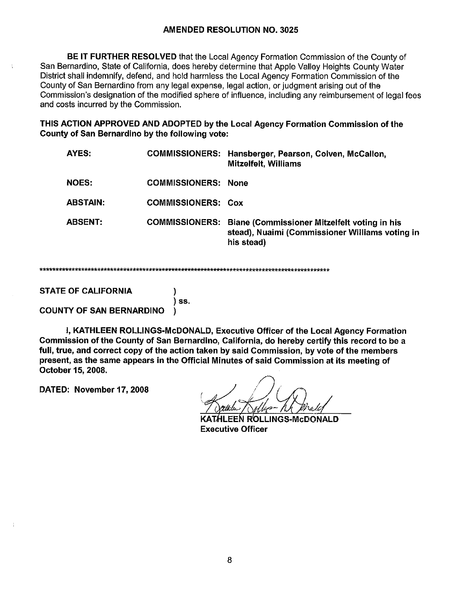## **AMENDED RESOLUTION NO. 3025**

BE IT FURTHER RESOLVED that the Local Agency Formation Commission of the County of San Bernardino, State of California, does hereby determine that Apple Valley Heights County Water District shall indemnify, defend, and hold harmless the Local Agency Formation Commission of the County of San Bernardino from any legal expense, legal action, or judgment arising out of the Commission's designation of the modified sphere of influence, including any reimbursement of legal fees and costs incurred by the Commission.

THIS ACTION APPROVED AND ADOPTED by the Local Agency Formation Commission of the County of San Bernardino by the following vote:

| AYES:           |                            | COMMISSIONERS: Hansberger, Pearson, Colven, McCallon,<br><b>Mitzelfelt, Williams</b>                                                |
|-----------------|----------------------------|-------------------------------------------------------------------------------------------------------------------------------------|
| NOES:           | <b>COMMISSIONERS: None</b> |                                                                                                                                     |
| <b>ABSTAIN:</b> | <b>COMMISSIONERS: Cox</b>  |                                                                                                                                     |
| <b>ABSENT:</b>  |                            | <b>COMMISSIONERS:</b> Biane (Commissioner Mitzelfelt voting in his<br>stead), Nuaimi (Commissioner Williams voting in<br>his stead) |

)

**STATE OF CALIFORNIA** 

) ss. **COUNTY OF SAN BERNARDINO** 

I. KATHLEEN ROLLINGS-McDONALD, Executive Officer of the Local Agency Formation Commission of the County of San Bernardino, California, do hereby certify this record to be a full, true, and correct copy of the action taken by said Commission, by vote of the members present, as the same appears in the Official Minutes of said Commission at its meeting of October 15, 2008.

DATED: November 17, 2008

THLEEN ROLLINGS-McDONALD **Executive Officer**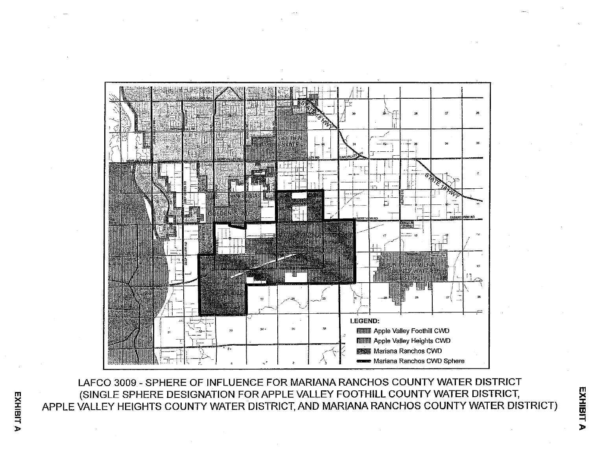

LAFCO 3009 - SPHERE OF INFLUENCE FOR MARIANA RANCHOS COUNTY WATER DISTRICT (SINGLE SPHERE DESIGNATION FOR APPLE VALLEY FOOTHILL COUNTY WATER DISTRICT, APPLE VALLEY HEIGHTS COUNTY WATER DISTRICT, AND MARIANA RANCHOS COUNTY WATER DISTRICT)

EXHIBIT A